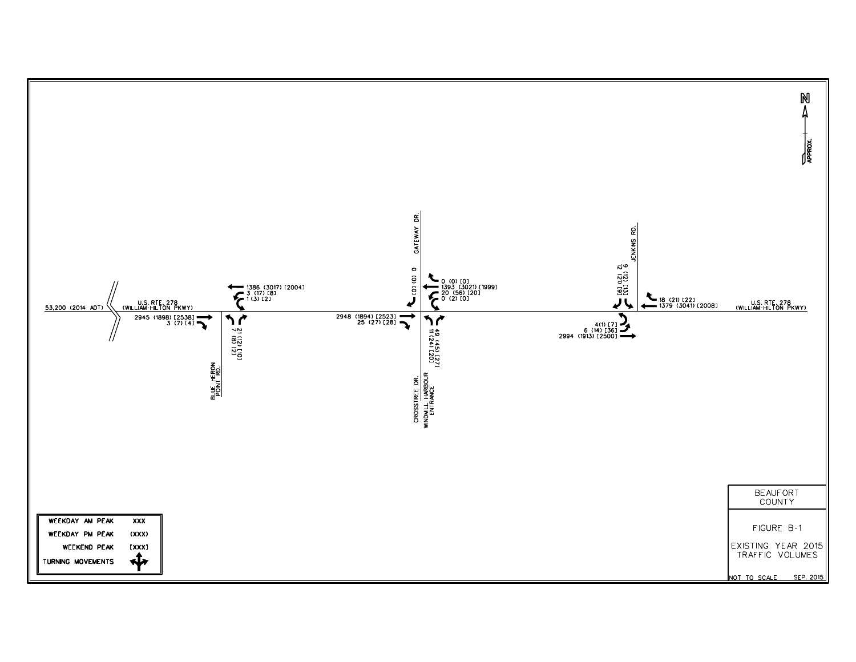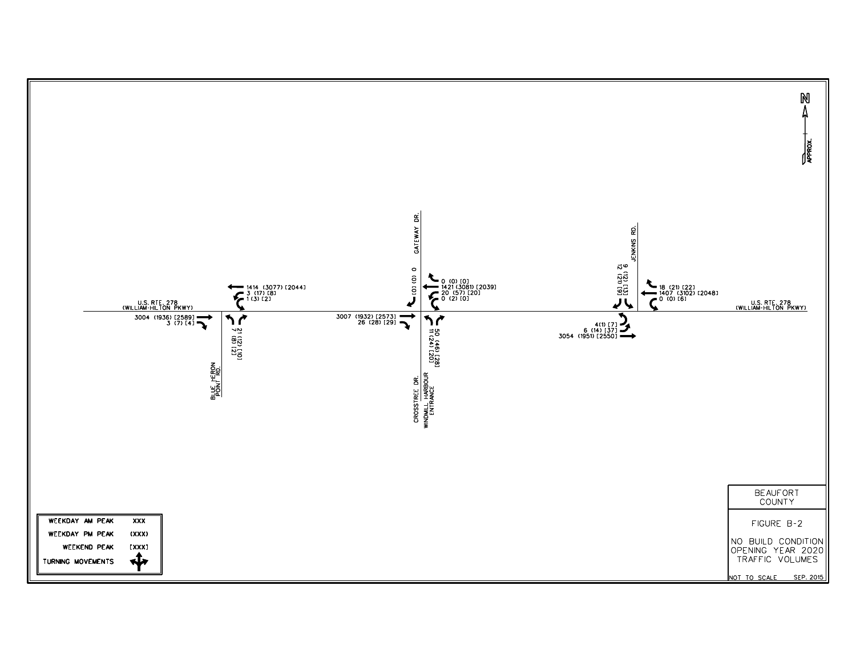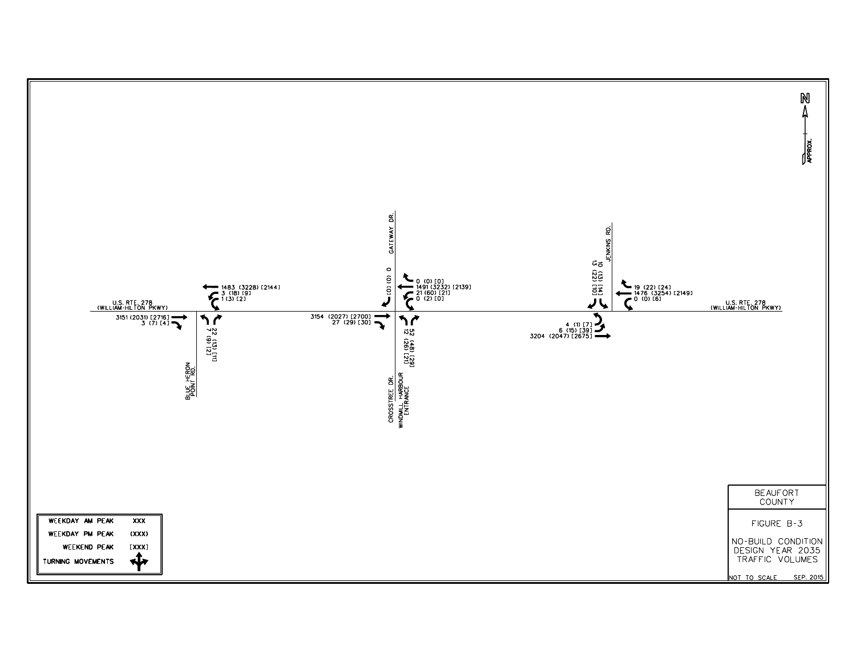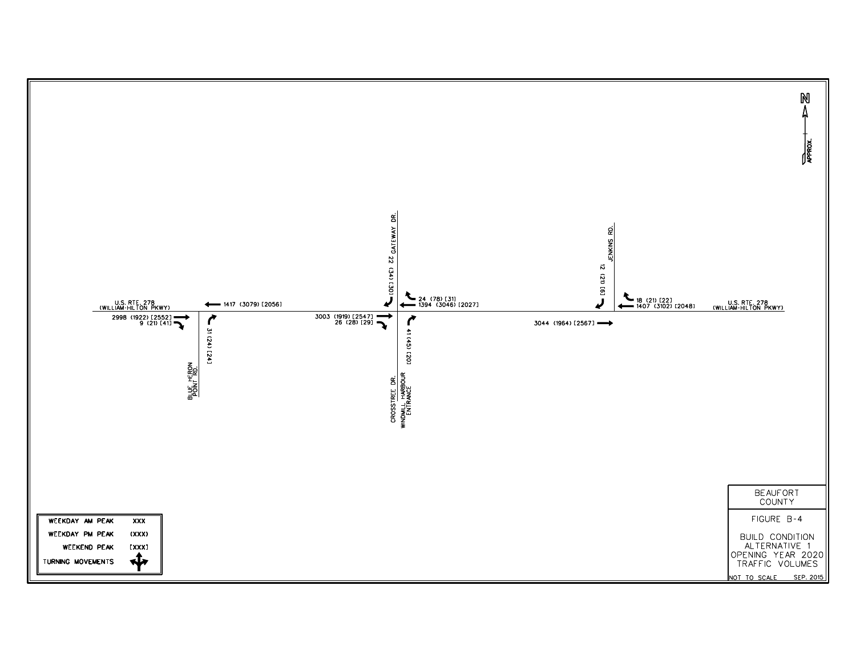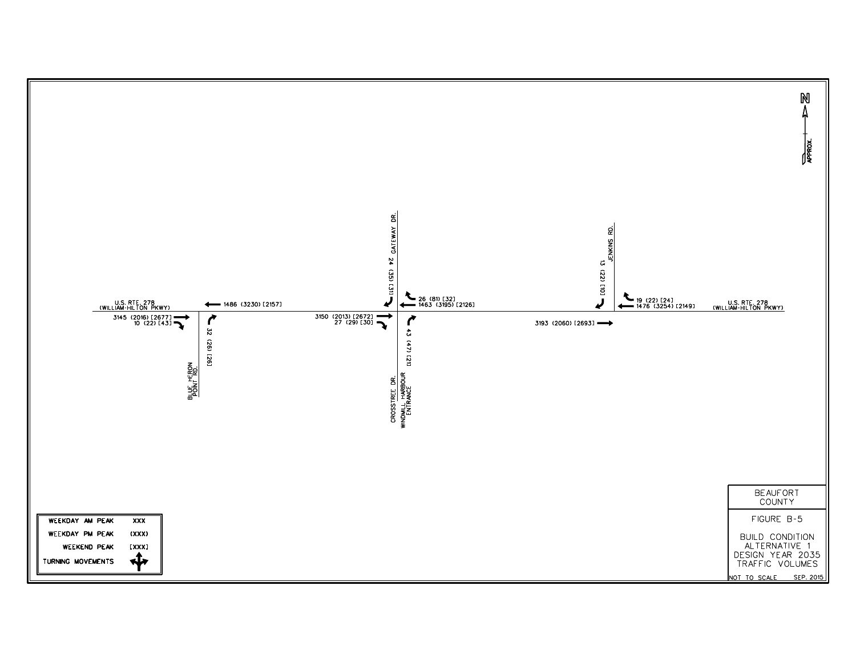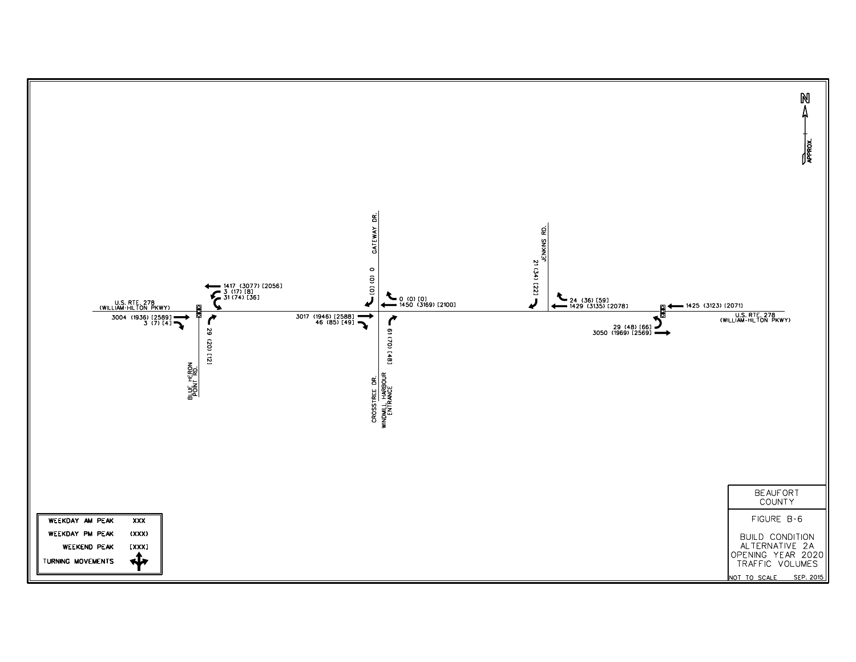